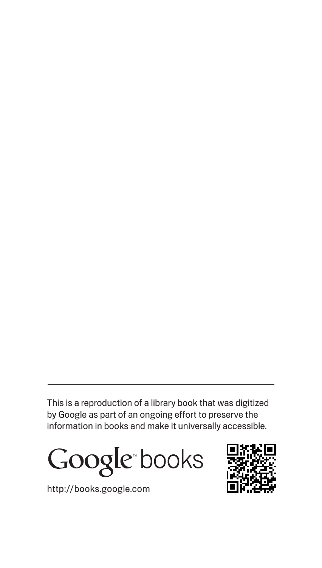This is a reproduction of a library book that was digitized by Google as part of an ongoing effort to preserve the information in books and make it universally accessible.

Google books



http://books.google.com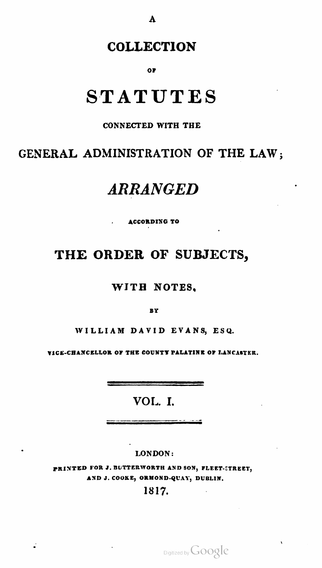## **COLLECTION**

A

OP

# **STATUTES**

#### CONNECTED WITH THE

GENERAL ADMINISTRATION OF THE LAW;

## ARRANGED

ACCORDING TO

## THE ORDER OF SUBJECTS,

## WITH NOTES,

BY

WILLIAM DAVID EVANS, ESQ.

VICE-CHANCELLOR OF THE COUNTY PALATINE OF LANCASTER.

## VOL. I.

LONDON:

PRINTED FOR J. BUTTERWORTH AND SON, FLEET-STREET, AND J. COOKE, ORMOND-QUAY, DUBLIN.

1817.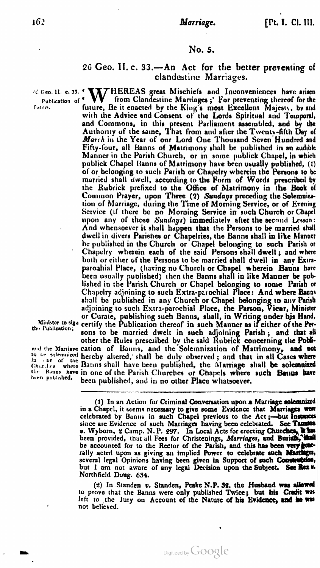## No. 5.

### 26 Geo. II. c. 33.  $-An$  Act for the better preventing of clandestine Marriages.

<sup>2</sup>G Geo. 11. c. 33. TWEREAS great Mischiefs and Inconveniences have arisen<br>Publication of **W** from Clandestine Marriages ;' For preventing thereof for the Publication of  $\Psi \Psi$  from Clandestine Marriages;' For preventing thereof for the Fanns.<br>Panns. future, Be it enacted by the King's most Excellent Majesty, by and with the Advice and Consent of the Lords Spiritual and Temporal, and Commons, in this present Parliament assembled, and by the Authority of the same, That from and after the Twenty-fifth Day of<br>March in the Year of our Lord One Thousand Seven Hundred and Fifty-four, all Banns of Matrimony shall be published in an audible Manner in the Parish Church, or in some publick Chapel, in which publick Chapel Banns of Matrimony have been usually published, (1) of or belonging to such Parish or Chapelry wherein the Persona to be married shall dwell, according to the Form of Words prescribed by the Kubrick prefixed to the Office of Matrimony in the Book of Inc. Rubitch pictured to the Office of Mathmony in the Book of the Solemniza tion of Marriage, during the Time of Morning Service, or of Evening Service (if there be no Morning Service in such Church or Chapel upon any of those Sundays) immediately after the second Lesson: And whensoever it shall happen that the Persons to be married shall dweil in divers Parishes or Chapelries, the Banns shall in like Manner he published in the Church or Chapel belonging to such Parish or Chapelry wherein each of the said Persons shall dwell; and where both or either of the Persons to be married shall dwell in any Exiraparoahial Place, (having no Church or Chapel wherein Banns bare been usually published) then the Banns shall in like Manner be pub-<br>lished in the Parish Church or Chapel belonging to some Parish or<br>Chapelry adjoining to such Extra-parochial Place: And where Banns shall be published in any Church or Chapel belonging to anv Parish adjoining to such Extra-parochial Place, the Parson, Vicar, Minister or Curate, publishing such Banns, slaal, in Writing under his Hand,<br>Minister to sign certify the Publication thereof in such Manner as if either of the Per-<br>the Publication; some to the monitor durch in such adjoining Drig other the Rules prescribed by the said Rubrick concerning the Publi-<br>and the Marriage cation of Banns, and the Solemnization of Matrimony, and not to be solemnized hereby altered, shall be duly observed; and that in all Cases where In the of the Banns shall have been published, the Marriage shall be solemnized<br>the Banns have in one of the Parish Churches or Chapels where such Banns tave<br>heen published, have go the Parish Churches or Chapels where suc

(2) In Sianden v. Standen, Peake N.P. 32. the Husband was allowed to prove that the Banns were only published Twice; but his Credit was left to the Jury on Account of the Nature of his Evidence, and he was not believed.

<sup>(1)</sup> In an Action for Criminal Conversation upon a Marriage solemnized in a Chapel, it seems necessary to give some Evidence that Marriages were<br>celebrated by Banns in such Chapel previous to the Act ;—but Instances<br>since are Evidence of such Marriages having been celebrated. See Taunton who are a critical or such that independent in the control of the control of the control of the been provided, it has been provided, that all Fees for Christenings, Marriages, and Burials, Shall be accounted for to the Rector of the Parish, and this has been very generally acted upon as giving an implied Power to celebrate such Marriages, several legal Opinions having been given in Support of such Construction,<br>but 1 am not aware of any legal Decision upon the Subject. See Rex r. Northfield Doug. 634.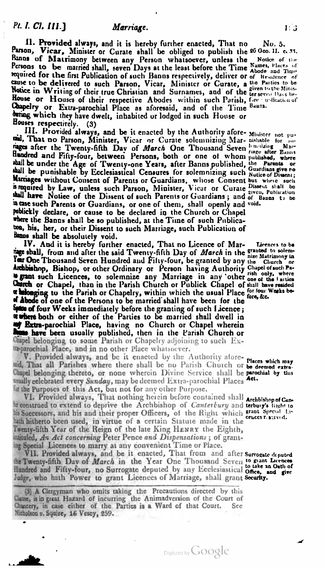#### Marriage.

Il. Provided always, and it is hereby further enacted, That no Parson, Vicar, Minister or Curate shall be obliged to publish the 26 Geo. II. c. 33. Ranos of Matrimony between any Person whatsoever, unless the Notice of the Banna of Matrimony between any Person whatsoever, unless the Notice of the Bannes, Places of<br>Persons to be matried shall, seven Days at the least b required for the first Publication of such Banns respectively, deliver or of Residence of cause to be delivered to such Parson, Vicar, Minister or Curate, a the Parties to be<br>Notice in Writing of their true Christian and Surnames, and of the given to the Minister<br>Black of the given to the Minister House or Houses of their respective Abodes within such Parish, fire unication of Chapelry or Extra-parochial Place as aforesaid, and of the Time Baums. during which they have dwelt, inhabited or lodged in such House or Houses respectively. (3)

nouses respectively. (3)<br>
III. Provided always, and be it enacted by the Authority afore-Minister not put<br>
III. Provided always, and be it enacted by the Authority afore-Minister for put<br> **rages** after the Twenty-fifth Day in case such Parents or Guardians, or one of them, shall openly and void. publickly declare, or cause to be declared in the Church or Chapel where the Banns shall be so published, at the Time of such Publicaton, his, her, or their Dissent to such Marriage, such Publication of Banns shall be absolutely void.

IV. And it is hereby further enacted, That no Licence of Mar-IV. And it is hereby further enacted, I hat no Licence or *iviar-*<br>inge shall, from and after the said Twenty-fifth Day of *March* in the granted to solemn-<br>**For One Thousand** Seven Hundred and Fifty-four, be granted by an The control of Chapel, than in the Parish Church or Publick Chapel of shall have resided<br>
The control of the Parish or Chapelry, within which the usual Place for four Wests be-<br>
The control of the control of the control of of abode of one of the Persons to be married shall have been for the Space of four Weeks immediately before the granting of such Licence; a where both or either of the Parties to be married shall dwell in The Batra-parochial Place, having no Church or Chapel wherein Chapel belonging to some Parish or Chapelry adjoining to such Exta-parochial Place, and in no other Place whatsoever.

V. Provided always, and be it enacted by the Authority aforeaid, That all Parishes where there shall be no Parish Church or be deemed extra Chapel belonging thereto, or none wherein Divine Service shall be parochial by this usually celebrated every Sunday, may be deemed Extra-parochial Places Act.

for the Purposes of this Act, but not for any other Purpose.<br>V1. Provided always, That nothing herein before contained shall Archbishop of Canbe construed to extend to deprive the Archbishop of Canterbury and terbury's Kight to his Successors, and his and their proper Officers, of the Right which grant Special Libath hitherto been used, in virtue of a certain Statute made in the clues r. served. Twenty-fifth Year of the Reign of the late King HENRY the Eighth, intituled, An Act concerning Peter Pence and Dispensations; of granting Special Licences to marry at any convenient Time or Place.

VII. Provided always, and be it enacted, That from and after surrogate deputed the Twenty-fifth Day of March in the Year One Thousand Seven to guant Leeness Hundred and Fifty-four, no Surrogate deputed by any Ecclesiastica Judge, who hath Power to grant Licences of Marriage, shall grant Security.

Digitized by Google

(3) A Clergyman who omits taking the Precautions directed by this Clause, is in great Hazard of incurring the Animadversion of the Court of Chancery, in case either of the Parties is a Ward of that Court. See Nicholson v. Squire, 16 Vesey, 259.

No. 5.

Licences to be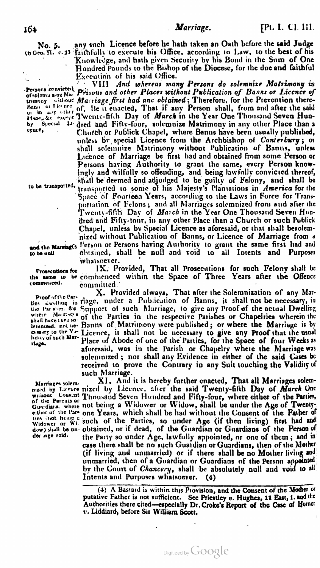No. 5. any such Licence before he hath taken an Oath before the said Judge •jo Geo. Ti. c.33 Tai'thfullv to execute his Office, according 10 Law, to the best of his

Knowledge, and hath given Security by his Bond in the Sum of One Hundred Pounds to the Bishop of the Diocese, for the due and faithful Execution of his said Office.

VIII And whereas many Persons do solemnize Matrimony in Persons convicted: Prisons and other Places without Publication of Banns or Licence of trinous without Marriage first had anc obtained; Therefore, for the Prevention thererance of the contract of the it enacted. That if any Person shall, from and after the said or in any other by the contract of the Search in the Year One Thousand Seven Hun-<br>by Special 4: declinate Fifth Day of March in the Year One Thousand Seven Hun-<br>center-<br>centerunless by special Licence from the Archbishop of  $Canierbury$ ; or shall solemnize Matrimony without Publication of Banns, unless Licence of Marriage be first had and obtained from some Person or Persons having Authority to grant the same, every Person knowinaly and wilfully so offending, and being lawfully convicted thereof, shall be deemed and adjudged to be guilty of Felony, and shall be<br>the transported, in America for the Majesty's Plantations in America for the transported to some of his Majesty's Plantations in *America* for the<br>Space of Fourteen Years, according to the Laws in Force for Transportation of Felons; and all Marriages solemnized from and after the<br>Twenty-fifth Day of March in the Year One Thousand Seven Hundred and Fifty-tour, in any other Place than Church or such Publick Chapel, unless bv Special Licence as aforesaid, or that shall besolemnized without Publication of Banns, or Licence of Marriage from and the MurringCs Person or Persons having Authority to grant the same first had and no the state of the null and void to all Intents and Purposes whatsoever.

Prosecutions for IX. Provided, That all Prosecutions for such Felony shall be Prosecutions for IX. Provided, That all Prosecutions for such Felony shall be<br>the same to be committed within the Space of Three Years after the Offence<br>commenced. X. Provided alwavs, That after the Solemnization of any Mar-

Front of the Parage, under a Publication of Banns, it shall not be necessary, in<br>the Parage in ringe, under a Publication of Banns, it shall not be necessary, in where Macross's of the Parties in the respective Parishes or Chapelries wherein the shall have Lee aso. B. The Samma of Matrimony were published; or where the Marriage is by<br>creasary to the V<sub>ar</sub> Licence, it shall not be necessary to give any Proof that the usual<br>lidivision Mar-121 aforesaid, was in the Parish or Chapelry where the Marriage was solemnized; nor shall any Evidence in either of the said Cases be received to prove the Contrary in any Suit touching the Validity of such Marriage.

Marriages solem. XI. And it is hereby further enacted, That all Marriages solem-Narriages solem.<br>nued by Licence nized by Licence, after the said Twenty-fifth Day of March One made by Encode Higher by Theoriet, and the band Twenty limit Exty of The Parties. of the Parcula or  $\frac{1}{2}$  in the state of  $\frac{1}{2}$  and  $\frac{1}{2}$  in the  $\frac{1}{2}$  of  $\frac{1}{2}$  in  $\frac{1}{2}$  is  $\frac{1}{2}$  in  $\frac{1}{2}$  in  $\frac{1}{2}$  is  $\frac{1}{2}$  in  $\frac{1}{2}$  in  $\frac{1}{2}$  is  $\frac{1}{2}$  in  $\frac{1}{2}$  in  $\frac$ either of the Pare one Years, which shall be had without the Consent of the Father of thes that being a total such of the Parties, so under Age (if then living) first had and Widewer or w), botained, or if dead, of the Guardian or Guardians of the Person of<br>der age void. jne play the party so under Age, lawfully appointed, or one of them and in the Party so under Age, lawfully appointed, or one of them; and in case there shall be no such Guardian or Guardians, then of the Mother (if living and unmarried) or if there shall be no Mother living and unmarried, then of Guardian or Guardians of the Person appointed by the Court of Chancery, shall be absolutely null and void to all Intents and Purposes whatsoever. (4)

> (4) A Bastard is within this Provision, and the Consent of the Mother or putative Father is not sufficient. See Priestley v. Hughes, 11 East, 1. and the Authorities there cited-especially Dr. Croke's Report of the Case of Hornet v. Liddiard, before Sit William Scott.

riage.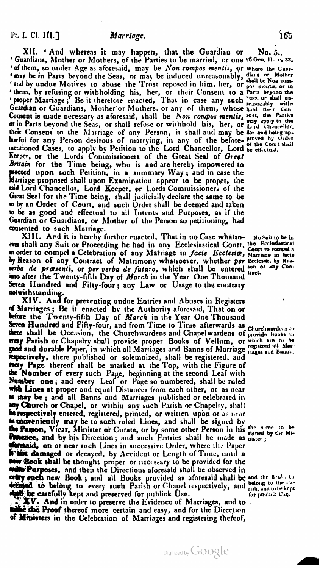XII. 'And whereas it may happen, that the Guardian or 'Guardians, Mother or Mothers, of the Parties to be married, or one 26 Geo. 11. r. 33. ' of them, so under Age as aforesaid, may be Non compos mentis, or where the Guar-To them, so under Age as atoresaid, may be *Non compos mentis*, or where the Guar-<br>
"my be in Parts beyond the Seas, or may be induced unreasonably, diats or Muher<br>
"and by undue Motives to abuse the Trust reposed in him, lawful for any Person desirous of marrying, in any of the before-proved by Older Keeper, or the Lords Commissioners of the Great Seal of Great Britain for the Time being, who is and are hereby impowered to proceed upon such Petition, in a summary Way; and in case the Marriage proposed shall upon Examination appear to be proper, the said Lord Chancellor, Lord Keeper, or Lords Commissioners of the Great Seal for the Time being, shall judicially declare the same to be so by an Order of Court, and such Order shall be deemed and taken to be as good and effectual to all Intents and Purposes, as if the Guardian or Guardians, or Mother of the Person so petitioning, had consented to such Marriage.

XIII. And it is hereby further enacted, That in no Case whatsoever shall any Suit or Proceeding he had in any Ecclesiastical Court, the Ecclesiastical on order to compel a Celebration of any Matrixe in Societies. Court to compel a moder to compel a Celebration of any Matrixe in Societies. Receiver, whether per Ecclesive, by Reason of any Contract of Matrimony whatsoever, Seven Hundred and Fitty-four; any Law or Usage to the contrary notwithstanding.

XIV. And for preventing undue Entries and Abuses in Registers of Marriages; Be it enacted by the Authority aforesaid, That on or before the Twenty-fifth Day of March in the Year One Thousand Seven Hundred and Fifty-four, and from Time to Time afterwards as there shall be Occasion, the Churchwardens and Chapelwardens of provide hooks in the set of the Churchward and Chapelwardens of provide hooks in the set of good and durable Paper, in which all Marriages and Banns of Femali, or emission with Marrespectively, there published or solemnized, shall be registered, and every Page thereof shall be marked at the Top, with the Figure of the Number of every such Page, beginning at the second Leaf with Number one; and every Leaf or Page so numbered, shall be ruled<br>with Lines at proper and equal Distances from each other, or as near as may be; and all Banns and Marriages published or celebrated in be respectively entered, registered, printed, or written upon or as near as conveniently may be to such ruled Lines, and shall be signed by the Patson, Vicar, Minister or Curate, or by some other Person in his the same to be **Prence, and by his Direction; and such Entries shall be made as nister;** theretaid, on or near such Lines in successive Order, where the Paper is this dumaged or decayed, by Accident or Length of Time, until a sew Book shall be thought proper or necessary to be provided for the to Purposes, and then the Directions aforesaid shall be observed in every such new Book; and all Books provided as aforesaid shall be and the Books to the line the Books provided as aforesaid shall be and the Books to that be earefully kept and preserved for publick Use.

W. And in order to preserve the Evidence of Marriages, and to of Ministers in the Celebration of Marriages and registering thereof,

No. 5.

No Suit to be in

signed by the Mi-

for puchek Uses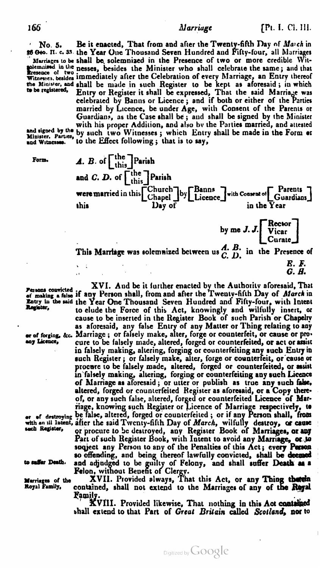No. 5.

Be it enacted, That from and after the Twenty-fifth Day of March in 26 000. II. c. 33. the Year One Thousand Seven Hundred and Fifty-four, all Marriages Marriages to be shall be solemnized in the Presence of two or more credible Witgeteeninged in the nesses, besides the Minister who shall celebrate the same; and that<br>Eresence of two shall celebrate the same; and that<br>Witnesses, besides immediately after the Celebration of every Marriage, an Entry the the Minister, and shall be made in such Register to be kept as aforesaid; in which celebrated by Banns or Licence; and if both or either of the Parties married by Licence, be under Age, with Consent of the Parents of Guardians, as the Case shall be; and shall be signed by the Minister with his proper Addition, and also by the Parties married, and attested and signed by the by such two Witnesses; which Entry shall be made in the Form or to the Effect following; that is to say,

Minister, Parties, and Witnesses.

Form.

*A. B.* of  $\begin{bmatrix}$ the Parish<br>and *C. D.* of  $\begin{bmatrix}$ the Parish were married in this Church by [Banns ] with Consent of Parents ] this  $\mathbf{D}$ av of in the  $\overline{\textbf{Y}}$ ear by me  $J. J.$   $\begin{bmatrix} \text{Rector} \\ \text{Vicar} \\ \text{Curate} \end{bmatrix}$ 

This Marriage was solemnized between us  $\overset{A}{C}$ .  $\overset{B}{D}$ , in the Presence of B. F. G. H.

Register,

any Licence,

to suffer Death.

Marriages of the<br>Royal Family,

XVI. And be it further enacted by the Authority aforesaid, That Persons convicted<br>of making a false if any Person shall, from and after the Twenty-fifth Day of March in<br>Eatry in the said the Year One Thousand Seven Hundred and Fifty-four, with Intent<br>and Hundred and Times and the Searc to elude the Force of this Act, knowingly and wilfully insert, or cause to be inserted in the Register Book of such Parish or Chapelry as aforesaid, any false Entry of any Matter or Thing relating to any er of forging, &c. Marriage; or falsely make, alter, forge or counterfeit, or cause or procure to be falsely made, altered, forged or counterfeited, or act or assist in falsely making, altering, forging or counterfeiting any such Entry in such Register; or falsely make, alter, forge or counterfeit, or cause or procure to be falsely made, altered, forged or counterfeited, or assist in falsely making, altering, forging or counterfeiting any such Licence of Marriage as aforesaid; or utter or publish as true any such false, altered, forged or counterfeited Register as aforesaid, or a Copy thereof, or any such false, altered, forged or counterfeited Licence of Marriage, knowing such Register or Licence of Marriage respectively, to er of destroying be false, altered, torged or countertenent of our any a wave and with an all latent, after the said Twenty-fifth Day of March, wilfully destroy, or cause Part of such Register Book, with Intent to avoid any Marriage, or to suqject any Person to any of the Penalties of this Act; every Person so offending, and being thereof lawfully convicted, shall be deemed and adjudged to be guilty of Felony, and shall suffer Death as a Felon, without Benefit of Clergy.<br>XVII. Provided slways, That this Act, or any Thing that the

contained, shall not extend to the Marriages of any of the Ruyal

Family.<br>XVIII. Provided likewise, That nothing in this Act contained shall extend to that Part of Great Britain called Scotland, nor to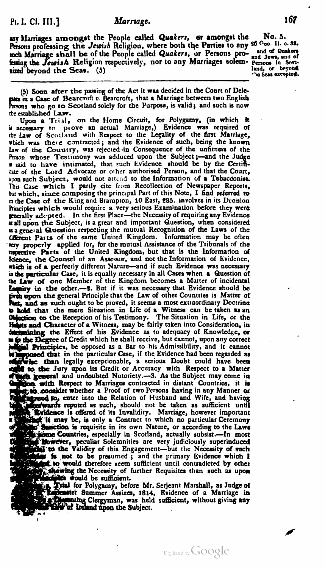any Marriages amongst the People called Quakers, or amongst the No. 5. any Marriages amongst the People called Guakers, or amongst the Portugal Coo. 11. c. 38.<br>Persons professing the Jewish Religion, where both the Parties to any 26 Geo. 11. c. 38.<br>Inch Marriage shall be of the People called fucti matriage strait be of the reopic cancel egales. So I crocks pro- and Jews, and of sixing the *Jeurisi* Rengion respectively, not to suy marriages solems persons in seater<br>hind, or beyond

(5) Soon after the passing of the Act it was decided in the Court of Deleates in a Case of Bearcroft v. Bearcroft, that a Marriage between two English Persons who go to Scotland solely for the Purpose, is valid; and such is now the established Law.

Upon a Trial, on the Home Circuit, for Polygamy, (in which it increasary to prove an actual Marriage,) Evidence was required of which was there contracted; and the Evidence of such, being the known law of the Country, was rejected in Consequence of the unfitness of the ftrson whose Testimony was adduced upon the Subject; - and the Judge s said to have intimated, that such Evidence should be by the Certificate of the Lord Advocate or other authorised Person, and that the Court, wou such Subject, would not attend to the Information of a Tobacconist.<br>This Case which I partly cite from Recollection of Newspaper Reports. but which, since composing the principal Part of this Note, I find referred to the Case of the King and Brampton, 10 East, ?85. involves in its Decision n use Case of the King and brainpion, 10 East, 200. Involves in its Decision<br>Prociples which would require a very serious Examination before they were  $r_{\text{energy}}$  adopted. In the first Place—the Necessity of requiring any Evidence it ill upon the Subject, is great and important Question, when considered and political Question respecting the mutual Recognition of the Laws of the file and Question respecting the mutual Recognition of the Laws of the file and United Kingdom. Information may be often rery properly applied for, for the mutual Assistance of the Tribunals of the tespective Parts of the United Kingdom, but that is the Information of Science, the Counsel of an Assessor, and not the Information of Evidence, which is of a perfectly different Nature-and if such Evidence was necessary is the particular Case, it is equally necessary in all Cases when a Question of the Law of one Member of the Kingdom becomes a Matter of incidental Loonity in the other.-2. But if it was necessary that Evidence should be tiven upon the general Principle that the Law of other Countries is Matter of Fact, and as such ought to be proved, it seems a most extiaordinary Doctrine<br>The hold that the mere Situation in Life of a Witness can be taken as an<br>Objection to the Reception of his Testimony. The Situation in Life, or t  $\frac{H_0}{\frac{H_0}{\sqrt{2}}}\frac{1}{\sqrt{2}}$  and Character of a Witness, may be fairly taken into Consideration, in declarining the Effect of his Evidence as to adequacy of Knowledge, or<br>in the Degree of Credit which he shall receive, but cannot, upon any correct al Principles, be opposed as a Bar to his Admissibility, and it cannot posed that in the particular Case, if the Evidence had been regarded as otherwise than legally exceptionable, a serious Doubt could have been<br>stated to the Jury upon its Credit or Accuracy with Respect to a Matter the general and undoubted Notoriety. -- 3. As the Subject may come in Compared to Mariages contracted in distant Countries, it is<br>related to Mariages contracted in distant Countries, it is<br>relation of two Persons having in any Manner or<br>relation of Husband and Wife, and having<br>the compared a t'it may be, is only a Contract to which no particular Ceremony **Sanction is requisite in its own Nature, or according to the Laws** tione Countries, especially in Scotland, actually subsist. In most Countries however, peculiar Solemnities are very judiciously superinduced  $\mathbf{F}$  is not to be presumed; and the primary Evidence which I f to would therefore seem sufficient until contradicted by other The shewing the Necessity of further Requisites than such as upon les would be sufficient.

Trial for Polygamy, before Mr. Serjeant Marshall, as Judge of Assixed Summer Assizes, 1814, Evidence of a Marriage in<br>Ireland, Evidence of Marriage in the Summer Assizes, 1814, Evidence of Marriage in Processive Summer Assizes, 1814, Evidence of The Law of the Law of the Law of the Subject.<br>In the Subject.<br>In the Subject.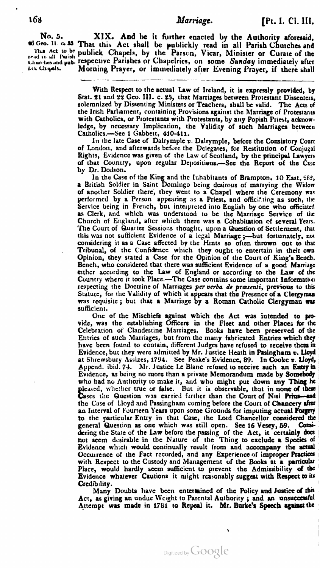No. 5. XIX. And be it further enacted by the Authority aforesaid, \*6G«. <sup>11</sup> r,jj That this Act shall be publickly read in all Parish Chinches and This Act to be publick Chapels, by the Parson, Vicar, Minister or Curate of the Ulurches and pub. respective Parishes or Chapelries, on some Sunday immediately after Let Utapels. Morning Prayer, or immediately after Evening Prayer, if there shall

> With Respect to the actual Law of Ireland, it is expressly provided, by Stat. 21 and 22 Geo. III. c. 25, that Marriages between Protestant Dissenters, solemnized by Dissenting Ministers or Teachers, shall be valid. The Acts of the Irish Parliament, containing Provisions against the Marriage of Protestants with Catholics, or Protestants with Protestants, by any Popish Priest, acknow ledge, by necessary Implication, the Validity of such Marriages between Catholics.-See 1 Gabbett, 410-411.

> In the late Case of Dalrymple v. Dalrymple, before the Consistory Court of London, and afterwards before the Delegates, for Restitution of Conjugal Rights, Evidence was given of the Law of Scotland, by the principal Lawyers of that Country, upon regular Depositiens. See the Report of the Case by Dr. Dodson.

> In the Case of the King and the Inhabitants of Brampton, 10 East, 282, a British Soldier in Saint Domingo being desirous of marrying the Widow<br>of another Soldier there, they went to a Chapel where the Ceremony was performed by a Person appearing as a Priest, and officiating as such, the Service being in French, but interpreted into English by one who officiated as Clerk, and which was understood to be the Marriage Setvice of the Church of England, after which there was a Cohabitation of several Years. The Court of Quarter Sessions thought, upon a Question of Settlement, that this was not sufficient Evidence of a legal Marriage ;- but fortunately, not considering it as a Case affected by the Hints so often thrown out to that Tribunal, of the Confidence which they ought to entertain in their own Opinion, they stated a Case for the Opinion of the Court of King's Bench. Bench, who considered that there was sufficient Evidence of a good Marriage<br>either according to the Law of England or according to the Law of the<br>Country where it took Place.—The Case contains some important Information respecting the Doctrine of Marriages per verba de prasenti, previous to this Statute, for the Validity of which it appears that the Presence of a Clergyman was requisite; but that a Marriage by a Roman Catholic Clergyman was sufficient.

> One of the Mischiefs against which the Act was intended to pro vide, was the establishing Officers in the Fleet and other Places for the Celebration of Clandestine Marriages. Books have been preserved of the Entries of such Marriages, but from the many fabricated Entries which they have been found to contain, different Judges have refused to receive them in Evidence, but they were admitted by Mr. Justice Heath in Pasingham v. Lloyd at Shrewsbury Assizes, 1794. See Peake's Evidence, 89. In Cooke v. Lloyd, Append. ibid. 74. Mr. Justice Le Blanc refused to receive such an Entry Evidence, as being no more than private Memorandum made by Somebody who had no Authority to make it, and who might put down any Thing hit pleased, whether true or false. But it is observable, that in none of these Cases the Question was carried farther than the Court of Nisi Prius—and the Case of Lloyd and Passingham coming before the Court of Chancery after an Interval of Fourteen Years upon some Grounds for imputing actual Forgery to the particular Entry in that Case, the Loid Chancellor considered the general Question as one which was still open. See 16 Vesey, 59. Considering the State of the Law before the passing of the Act, it certainly does<br>not seem desirable in the Nature of the Thing to exclude a Soecies of Evidence which would continually result from and accompany the actual Occurrence of the Fact recorded, and any Experience of improper Practices<br>with Respect to the Custody and Management of the Books at a particular<br>Place, would hardly seem sufficient to prevent the Admissibility of the<br>Rivi Credibility.

> Many Doubts have been entertained of the Policy and Justice of this Act, as giving an undue Weight to Parental Authority; and an unsuccessful Attempt was made in 1781 to Repeal it. Mr. Burke's Speech against the